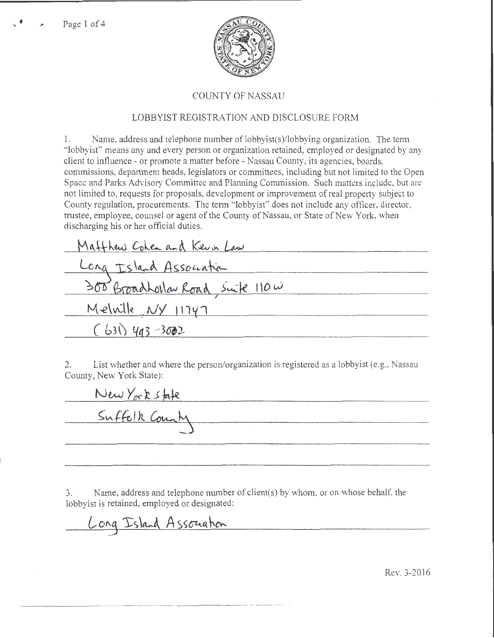

## COUNTY OF NASSAU

## LOBBYIST REGISTRATION AND DISCLOSURE FORM

1. Name. address and telephone number of lobbyist(s)/lobbying organization. The term "lobbyist" means any and every person or organization retained, employed or designated by any client to influence- or promote a matter before - Nassau County, its agencies, boards, commissions, depmtment heads, legislators or committees, including but not limited to the Open Space and Parks Advisory Committee and Planning Commission. Such matters include, but arc not limited to, requests for proposals, development or improvement of real property subject to County regulation, procurements. The term "lobbyist" does not include any officer, director, trustee, employee, counsel or agent of the County of Nassau, or State of New York, when discharging his or her official duties.

| Matthew Cohen and Keun Law        |  |
|-----------------------------------|--|
| Long Island Association           |  |
| 300 BroadLollar Road, Suite 110 w |  |
| Melville NY 11747                 |  |
| $(631)$ 493-3002                  |  |

2. List whether and where the person/organization is registered as a lobbyist (e.g., Nassau County, New York State):

New York state Suffolk County

3. Name, address and telephone number of client(s) by whom, or on whose behalf, the lobbyist is retained, employed or designated:

----- ----------- --- ------- ---

Long Island Association

Rev. 3-2016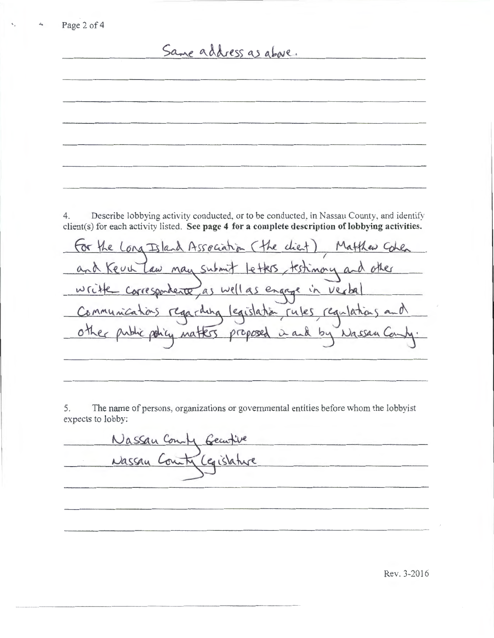Same address as above.

4. Describe lobbying activity conducted, or to be conducted, in Nassau County, and identify client(s) for each activity listed. **See page 4 for a complete description oflobbying activities.** 

for the Long Island Association (the client) Matthew Cohen and Kevil Law may submit letters, testimony and other write correspondente as well as engage in verbal regarding legislation rules regulations Communications other proposed Matters in and  $bu$ Nassan

5. The name of persons, organizations or governmental entities before whom the lobbyist expects to lobby:

Nassau Compy Gecutive Nassau Cerislature

Rev. 3-2016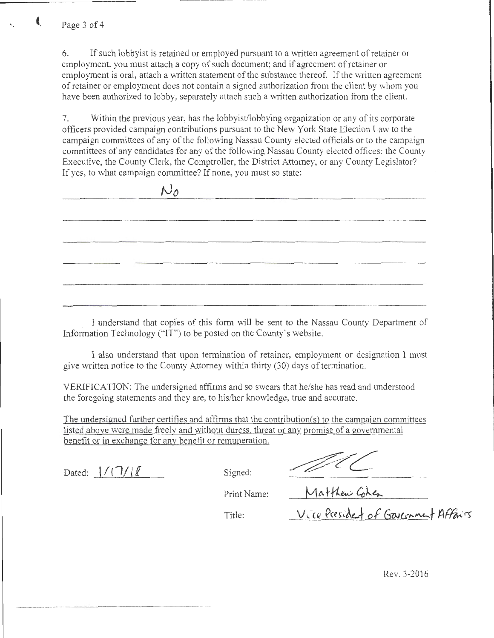,------------- - ----- - ---------- -

*tJo* 

6. If such lobbyist is retained or employed pursuant to a written agreement of retainer or employment, you must attach a copy of such document; and if agreement of retainer or employment is oral, attach a written statement of the substance thereof. If the written agreement of retainer or employment does not contain a signed authorization from the client by whom you have been authorized to lobby, separately attach such a written authorization from the client.

7. Within the previous year, has the lobbyist/lobbying organization or any of its corporate officers provided campaign contributions pursuant to the New York State Election Law to the campaign committees of any of the following Nassau County elected officials or to the campaign committees of any candidates for any of the following Nassau County elected oftices: the County Executive, the County Clerk, the Comptroller, the District Attorney, or any County Legislator? If yes, to what campaign committee? If none, you must so state:

|                                                                                                                                     |           | --------                                     |       |
|-------------------------------------------------------------------------------------------------------------------------------------|-----------|----------------------------------------------|-------|
|                                                                                                                                     |           |                                              |       |
| the contract of the contract of<br>ten Silvan van de Germanisation de Angleš (* Angleš programma van de Silvan van de Germanisation |           |                                              |       |
|                                                                                                                                     |           |                                              |       |
|                                                                                                                                     |           | the control of the control of the control of | _____ |
| The Committee of the Committee of the Committee                                                                                     |           |                                              |       |
|                                                                                                                                     | _________ |                                              |       |
|                                                                                                                                     |           |                                              |       |

I understand that copies of this form will be sent to the Nassau County Department of Information Technology ("IT") to be posted on the County's website.

1 also understand that upon termination of retainer, employment or designation 1 must give written notice to the County Attorney within thirty (30) days of termination.

VERIFICATION: The undersigned affirms and so swears that he/she has read and understood the foregoing statements and they are, to his/her knowledge, true and accurate.

The undersigned further certifies and affinns that the contribution(s) to the camoaign committees listed above were made freelv and without duress. threat or anv promise of a governmental benefit or in exchange for anv benefit or remuneration.

Dated:  $\frac{1}{1}$  /  $\frac{1}{2}$  Signed:

Matthew Cohen<br>Matthew Cohen<br>Vice Presided of Government Affairs

Print Name:

Title:

Rev. 3-2016